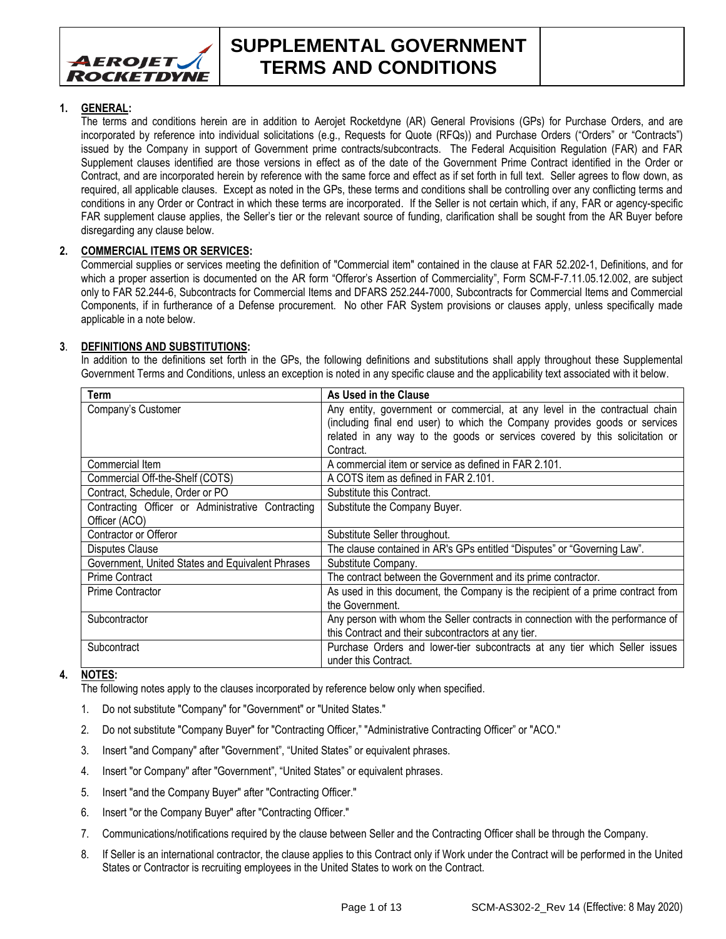

#### **SUPPLEMENTAL GOVERNMENT TERMS AND CONDITIONS**

#### **1. GENERAL:**

The terms and conditions herein are in addition to Aerojet Rocketdyne (AR) General Provisions (GPs) for Purchase Orders, and are incorporated by reference into individual solicitations (e.g., Requests for Quote (RFQs)) and Purchase Orders ("Orders" or "Contracts") issued by the Company in support of Government prime contracts/subcontracts. The Federal Acquisition Regulation (FAR) and FAR Supplement clauses identified are those versions in effect as of the date of the Government Prime Contract identified in the Order or Contract, and are incorporated herein by reference with the same force and effect as if set forth in full text. Seller agrees to flow down, as required, all applicable clauses. Except as noted in the GPs, these terms and conditions shall be controlling over any conflicting terms and conditions in any Order or Contract in which these terms are incorporated. If the Seller is not certain which, if any, FAR or agency-specific FAR supplement clause applies, the Seller's tier or the relevant source of funding, clarification shall be sought from the AR Buyer before disregarding any clause below.

#### **2. COMMERCIAL ITEMS OR SERVICES:**

Commercial supplies or services meeting the definition of "Commercial item" contained in the clause at FAR 52.202-1, Definitions, and for which a proper assertion is documented on the AR form "Offeror's Assertion of Commerciality", Form SCM-F-7.11.05.12.002, are subject only to FAR 52.244-6, Subcontracts for Commercial Items and DFARS 252.244-7000, Subcontracts for Commercial Items and Commercial Components, if in furtherance of a Defense procurement. No other FAR System provisions or clauses apply, unless specifically made applicable in a note below.

#### **3**. **DEFINITIONS AND SUBSTITUTIONS:**

In addition to the definitions set forth in the GPs, the following definitions and substitutions shall apply throughout these Supplemental Government Terms and Conditions, unless an exception is noted in any specific clause and the applicability text associated with it below.

| Term                                              | As Used in the Clause                                                           |
|---------------------------------------------------|---------------------------------------------------------------------------------|
| Company's Customer                                | Any entity, government or commercial, at any level in the contractual chain     |
|                                                   | (including final end user) to which the Company provides goods or services      |
|                                                   | related in any way to the goods or services covered by this solicitation or     |
|                                                   | Contract.                                                                       |
| Commercial Item                                   | A commercial item or service as defined in FAR 2.101.                           |
| Commercial Off-the-Shelf (COTS)                   | A COTS item as defined in FAR 2.101.                                            |
| Contract, Schedule, Order or PO                   | Substitute this Contract.                                                       |
| Contracting Officer or Administrative Contracting | Substitute the Company Buyer.                                                   |
| Officer (ACO)                                     |                                                                                 |
| Contractor or Offeror                             | Substitute Seller throughout.                                                   |
|                                                   |                                                                                 |
| Disputes Clause                                   | The clause contained in AR's GPs entitled "Disputes" or "Governing Law".        |
| Government, United States and Equivalent Phrases  | Substitute Company.                                                             |
| <b>Prime Contract</b>                             | The contract between the Government and its prime contractor.                   |
| <b>Prime Contractor</b>                           | As used in this document, the Company is the recipient of a prime contract from |
|                                                   | the Government.                                                                 |
| Subcontractor                                     | Any person with whom the Seller contracts in connection with the performance of |
|                                                   | this Contract and their subcontractors at any tier.                             |
| Subcontract                                       | Purchase Orders and lower-tier subcontracts at any tier which Seller issues     |

#### **4. NOTES:**

The following notes apply to the clauses incorporated by reference below only when specified.

- 1. Do not substitute "Company" for "Government" or "United States."
- 2. Do not substitute "Company Buyer" for "Contracting Officer," "Administrative Contracting Officer" or "ACO."
- 3. Insert "and Company" after "Government", "United States" or equivalent phrases.
- 4. Insert "or Company" after "Government", "United States" or equivalent phrases.
- 5. Insert "and the Company Buyer" after "Contracting Officer."
- 6. Insert "or the Company Buyer" after "Contracting Officer."
- 7. Communications/notifications required by the clause between Seller and the Contracting Officer shall be through the Company.
- 8. If Seller is an international contractor, the clause applies to this Contract only if Work under the Contract will be performed in the United States or Contractor is recruiting employees in the United States to work on the Contract.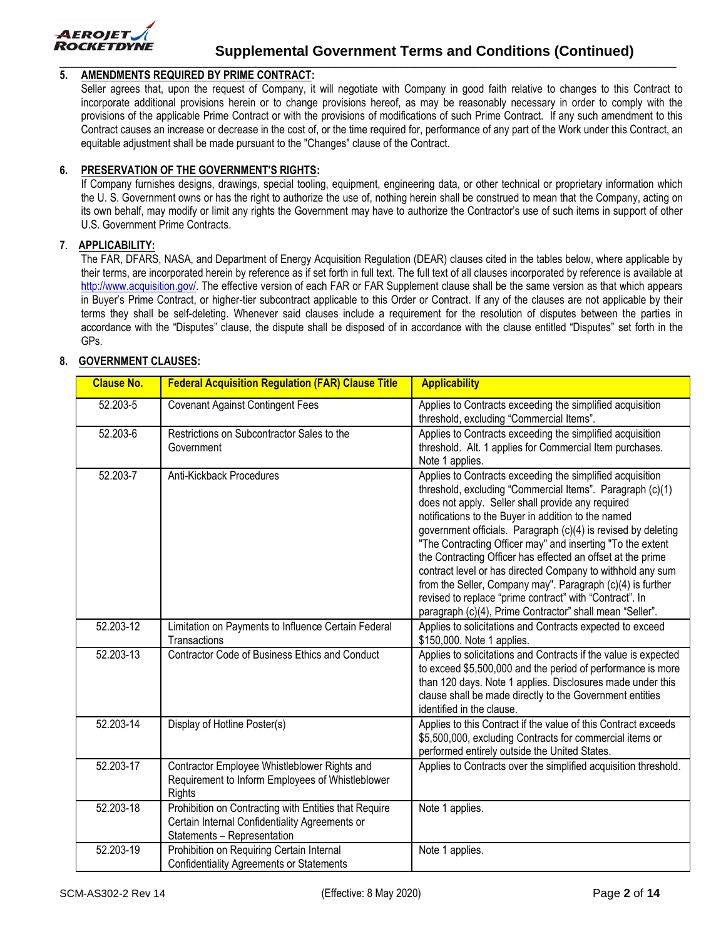

#### **5. AMENDMENTS REQUIRED BY PRIME CONTRACT:**

Seller agrees that, upon the request of Company, it will negotiate with Company in good faith relative to changes to this Contract to incorporate additional provisions herein or to change provisions hereof, as may be reasonably necessary in order to comply with the provisions of the applicable Prime Contract or with the provisions of modifications of such Prime Contract. If any such amendment to this Contract causes an increase or decrease in the cost of, or the time required for, performance of any part of the Work under this Contract, an equitable adjustment shall be made pursuant to the "Changes" clause of the Contract.

#### **6. PRESERVATION OF THE GOVERNMENT'S RIGHTS:**

If Company furnishes designs, drawings, special tooling, equipment, engineering data, or other technical or proprietary information which the U. S. Government owns or has the right to authorize the use of, nothing herein shall be construed to mean that the Company, acting on its own behalf, may modify or limit any rights the Government may have to authorize the Contractor's use of such items in support of other U.S. Government Prime Contracts.

#### **7**. **APPLICABILITY:**

The FAR, DFARS, NASA, and Department of Energy Acquisition Regulation (DEAR) clauses cited in the tables below, where applicable by their terms, are incorporated herein by reference as if set forth in full text. The full text of all clauses incorporated by reference is available at [http://www.acquisition.gov/.](https://www.acquisition.gov/) The effective version of each FAR or FAR Supplement clause shall be the same version as that which appears in Buyer's Prime Contract, or higher-tier subcontract applicable to this Order or Contract. If any of the clauses are not applicable by their terms they shall be self-deleting. Whenever said clauses include a requirement for the resolution of disputes between the parties in accordance with the "Disputes" clause, the dispute shall be disposed of in accordance with the clause entitled "Disputes" set forth in the GPs.

#### **8. GOVERNMENT CLAUSES:**

| <b>Clause No.</b> | <b>Federal Acquisition Regulation (FAR) Clause Title</b>                                                                               | <b>Applicability</b>                                                                                                                                                                                                                                                                                                                                                                                                                                                                                                                                                                                                                                                                |
|-------------------|----------------------------------------------------------------------------------------------------------------------------------------|-------------------------------------------------------------------------------------------------------------------------------------------------------------------------------------------------------------------------------------------------------------------------------------------------------------------------------------------------------------------------------------------------------------------------------------------------------------------------------------------------------------------------------------------------------------------------------------------------------------------------------------------------------------------------------------|
| 52.203-5          | <b>Covenant Against Contingent Fees</b>                                                                                                | Applies to Contracts exceeding the simplified acquisition<br>threshold, excluding "Commercial Items".                                                                                                                                                                                                                                                                                                                                                                                                                                                                                                                                                                               |
| 52.203-6          | Restrictions on Subcontractor Sales to the<br>Government                                                                               | Applies to Contracts exceeding the simplified acquisition<br>threshold. Alt. 1 applies for Commercial Item purchases.<br>Note 1 applies.                                                                                                                                                                                                                                                                                                                                                                                                                                                                                                                                            |
| 52.203-7          | Anti-Kickback Procedures                                                                                                               | Applies to Contracts exceeding the simplified acquisition<br>threshold, excluding "Commercial Items". Paragraph (c)(1)<br>does not apply. Seller shall provide any required<br>notifications to the Buyer in addition to the named<br>government officials. Paragraph (c)(4) is revised by deleting<br>"The Contracting Officer may" and inserting "To the extent<br>the Contracting Officer has effected an offset at the prime<br>contract level or has directed Company to withhold any sum<br>from the Seller, Company may". Paragraph (c)(4) is further<br>revised to replace "prime contract" with "Contract". In<br>paragraph (c)(4), Prime Contractor" shall mean "Seller". |
| 52.203-12         | Limitation on Payments to Influence Certain Federal<br>Transactions                                                                    | Applies to solicitations and Contracts expected to exceed<br>\$150,000. Note 1 applies.                                                                                                                                                                                                                                                                                                                                                                                                                                                                                                                                                                                             |
| 52.203-13         | Contractor Code of Business Ethics and Conduct                                                                                         | Applies to solicitations and Contracts if the value is expected<br>to exceed \$5,500,000 and the period of performance is more<br>than 120 days. Note 1 applies. Disclosures made under this<br>clause shall be made directly to the Government entities<br>identified in the clause.                                                                                                                                                                                                                                                                                                                                                                                               |
| 52.203-14         | Display of Hotline Poster(s)                                                                                                           | Applies to this Contract if the value of this Contract exceeds<br>\$5,500,000, excluding Contracts for commercial items or<br>performed entirely outside the United States.                                                                                                                                                                                                                                                                                                                                                                                                                                                                                                         |
| 52.203-17         | Contractor Employee Whistleblower Rights and<br>Requirement to Inform Employees of Whistleblower<br><b>Rights</b>                      | Applies to Contracts over the simplified acquisition threshold.                                                                                                                                                                                                                                                                                                                                                                                                                                                                                                                                                                                                                     |
| 52.203-18         | Prohibition on Contracting with Entities that Require<br>Certain Internal Confidentiality Agreements or<br>Statements - Representation | Note 1 applies.                                                                                                                                                                                                                                                                                                                                                                                                                                                                                                                                                                                                                                                                     |
| 52.203-19         | Prohibition on Requiring Certain Internal<br><b>Confidentiality Agreements or Statements</b>                                           | Note 1 applies.                                                                                                                                                                                                                                                                                                                                                                                                                                                                                                                                                                                                                                                                     |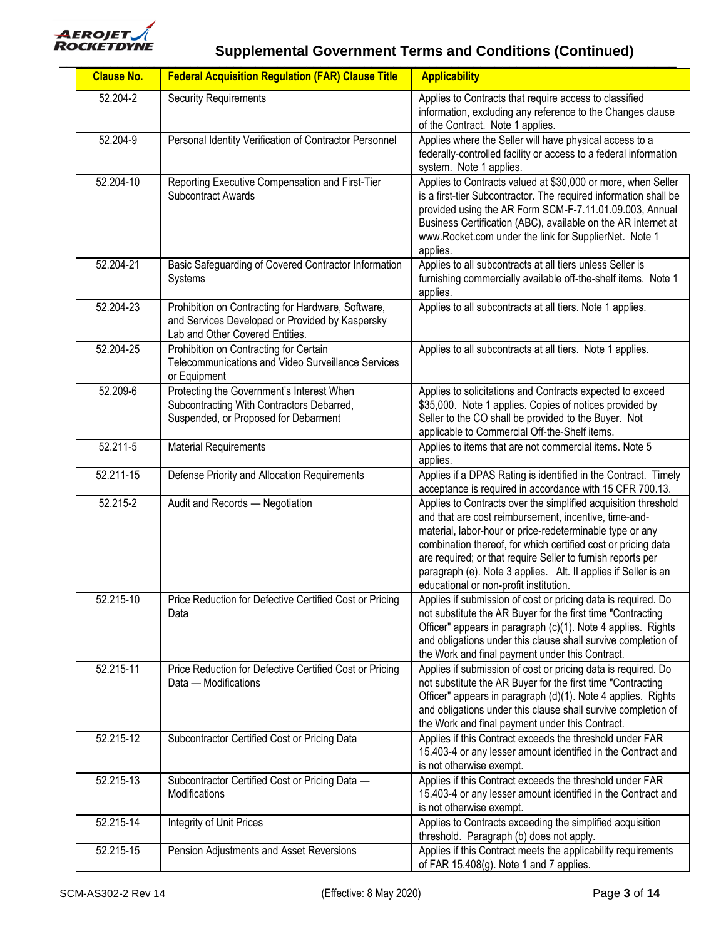

| <b>Clause No.</b> | <b>Federal Acquisition Regulation (FAR) Clause Title</b>                                                                                 | <b>Applicability</b>                                                                                                                                                                                                                                                                                                                                                                                                            |
|-------------------|------------------------------------------------------------------------------------------------------------------------------------------|---------------------------------------------------------------------------------------------------------------------------------------------------------------------------------------------------------------------------------------------------------------------------------------------------------------------------------------------------------------------------------------------------------------------------------|
| 52.204-2          | <b>Security Requirements</b>                                                                                                             | Applies to Contracts that require access to classified<br>information, excluding any reference to the Changes clause<br>of the Contract. Note 1 applies.                                                                                                                                                                                                                                                                        |
| 52.204-9          | Personal Identity Verification of Contractor Personnel                                                                                   | Applies where the Seller will have physical access to a<br>federally-controlled facility or access to a federal information<br>system. Note 1 applies.                                                                                                                                                                                                                                                                          |
| 52.204-10         | Reporting Executive Compensation and First-Tier<br><b>Subcontract Awards</b>                                                             | Applies to Contracts valued at \$30,000 or more, when Seller<br>is a first-tier Subcontractor. The required information shall be<br>provided using the AR Form SCM-F-7.11.01.09.003, Annual<br>Business Certification (ABC), available on the AR internet at<br>www.Rocket.com under the link for SupplierNet. Note 1<br>applies.                                                                                               |
| 52.204-21         | Basic Safeguarding of Covered Contractor Information<br>Systems                                                                          | Applies to all subcontracts at all tiers unless Seller is<br>furnishing commercially available off-the-shelf items. Note 1<br>applies.                                                                                                                                                                                                                                                                                          |
| 52.204-23         | Prohibition on Contracting for Hardware, Software,<br>and Services Developed or Provided by Kaspersky<br>Lab and Other Covered Entities. | Applies to all subcontracts at all tiers. Note 1 applies.                                                                                                                                                                                                                                                                                                                                                                       |
| 52.204-25         | Prohibition on Contracting for Certain<br>Telecommunications and Video Surveillance Services<br>or Equipment                             | Applies to all subcontracts at all tiers. Note 1 applies.                                                                                                                                                                                                                                                                                                                                                                       |
| 52.209-6          | Protecting the Government's Interest When<br>Subcontracting With Contractors Debarred,<br>Suspended, or Proposed for Debarment           | Applies to solicitations and Contracts expected to exceed<br>\$35,000. Note 1 applies. Copies of notices provided by<br>Seller to the CO shall be provided to the Buyer. Not<br>applicable to Commercial Off-the-Shelf items.                                                                                                                                                                                                   |
| 52.211-5          | <b>Material Requirements</b>                                                                                                             | Applies to items that are not commercial items. Note 5<br>applies.                                                                                                                                                                                                                                                                                                                                                              |
| 52.211-15         | Defense Priority and Allocation Requirements                                                                                             | Applies if a DPAS Rating is identified in the Contract. Timely<br>acceptance is required in accordance with 15 CFR 700.13.                                                                                                                                                                                                                                                                                                      |
| 52.215-2          | Audit and Records - Negotiation                                                                                                          | Applies to Contracts over the simplified acquisition threshold<br>and that are cost reimbursement, incentive, time-and-<br>material, labor-hour or price-redeterminable type or any<br>combination thereof, for which certified cost or pricing data<br>are required; or that require Seller to furnish reports per<br>paragraph (e). Note 3 applies. Alt. II applies if Seller is an<br>educational or non-profit institution. |
| 52.215-10         | Price Reduction for Defective Certified Cost or Pricing<br>Data                                                                          | Applies if submission of cost or pricing data is required. Do<br>not substitute the AR Buyer for the first time "Contracting<br>Officer" appears in paragraph (c)(1). Note 4 applies. Rights<br>and obligations under this clause shall survive completion of<br>the Work and final payment under this Contract.                                                                                                                |
| 52.215-11         | Price Reduction for Defective Certified Cost or Pricing<br>Data - Modifications                                                          | Applies if submission of cost or pricing data is required. Do<br>not substitute the AR Buyer for the first time "Contracting<br>Officer" appears in paragraph (d)(1). Note 4 applies. Rights<br>and obligations under this clause shall survive completion of<br>the Work and final payment under this Contract.                                                                                                                |
| 52.215-12         | Subcontractor Certified Cost or Pricing Data                                                                                             | Applies if this Contract exceeds the threshold under FAR<br>15.403-4 or any lesser amount identified in the Contract and<br>is not otherwise exempt.                                                                                                                                                                                                                                                                            |
| 52.215-13         | Subcontractor Certified Cost or Pricing Data -<br>Modifications                                                                          | Applies if this Contract exceeds the threshold under FAR<br>15.403-4 or any lesser amount identified in the Contract and<br>is not otherwise exempt.                                                                                                                                                                                                                                                                            |
| 52.215-14         | Integrity of Unit Prices                                                                                                                 | Applies to Contracts exceeding the simplified acquisition<br>threshold. Paragraph (b) does not apply.                                                                                                                                                                                                                                                                                                                           |
| 52.215-15         | Pension Adjustments and Asset Reversions                                                                                                 | Applies if this Contract meets the applicability requirements<br>of FAR 15.408(g). Note 1 and 7 applies.                                                                                                                                                                                                                                                                                                                        |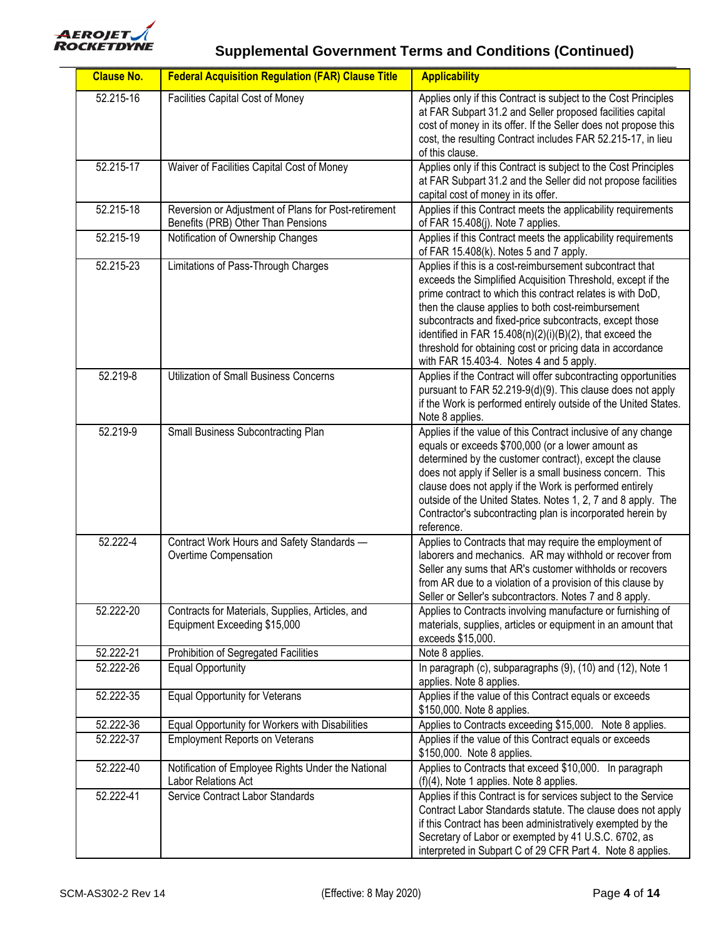

| <b>Clause No.</b> | <b>Federal Acquisition Regulation (FAR) Clause Title</b>                                   | <b>Applicability</b>                                                                                                                                                                                                                                                                                                                                                                                                                                                           |
|-------------------|--------------------------------------------------------------------------------------------|--------------------------------------------------------------------------------------------------------------------------------------------------------------------------------------------------------------------------------------------------------------------------------------------------------------------------------------------------------------------------------------------------------------------------------------------------------------------------------|
| 52.215-16         | Facilities Capital Cost of Money                                                           | Applies only if this Contract is subject to the Cost Principles<br>at FAR Subpart 31.2 and Seller proposed facilities capital<br>cost of money in its offer. If the Seller does not propose this<br>cost, the resulting Contract includes FAR 52.215-17, in lieu<br>of this clause.                                                                                                                                                                                            |
| 52.215-17         | Waiver of Facilities Capital Cost of Money                                                 | Applies only if this Contract is subject to the Cost Principles<br>at FAR Subpart 31.2 and the Seller did not propose facilities<br>capital cost of money in its offer.                                                                                                                                                                                                                                                                                                        |
| 52.215-18         | Reversion or Adjustment of Plans for Post-retirement<br>Benefits (PRB) Other Than Pensions | Applies if this Contract meets the applicability requirements<br>of FAR 15.408(j). Note 7 applies.                                                                                                                                                                                                                                                                                                                                                                             |
| 52.215-19         | Notification of Ownership Changes                                                          | Applies if this Contract meets the applicability requirements<br>of FAR 15.408(k). Notes 5 and 7 apply.                                                                                                                                                                                                                                                                                                                                                                        |
| 52.215-23         | Limitations of Pass-Through Charges                                                        | Applies if this is a cost-reimbursement subcontract that<br>exceeds the Simplified Acquisition Threshold, except if the<br>prime contract to which this contract relates is with DoD,<br>then the clause applies to both cost-reimbursement<br>subcontracts and fixed-price subcontracts, except those<br>identified in FAR $15.408(n)(2)(i)(B)(2)$ , that exceed the<br>threshold for obtaining cost or pricing data in accordance<br>with FAR 15.403-4. Notes 4 and 5 apply. |
| 52.219-8          | <b>Utilization of Small Business Concerns</b>                                              | Applies if the Contract will offer subcontracting opportunities<br>pursuant to FAR 52.219-9(d)(9). This clause does not apply<br>if the Work is performed entirely outside of the United States.<br>Note 8 applies.                                                                                                                                                                                                                                                            |
| 52.219-9          | Small Business Subcontracting Plan                                                         | Applies if the value of this Contract inclusive of any change<br>equals or exceeds \$700,000 (or a lower amount as<br>determined by the customer contract), except the clause<br>does not apply if Seller is a small business concern. This<br>clause does not apply if the Work is performed entirely<br>outside of the United States. Notes 1, 2, 7 and 8 apply. The<br>Contractor's subcontracting plan is incorporated herein by<br>reference.                             |
| 52.222-4          | Contract Work Hours and Safety Standards -<br>Overtime Compensation                        | Applies to Contracts that may require the employment of<br>laborers and mechanics. AR may withhold or recover from<br>Seller any sums that AR's customer withholds or recovers<br>from AR due to a violation of a provision of this clause by<br>Seller or Seller's subcontractors. Notes 7 and 8 apply.                                                                                                                                                                       |
| 52.222-20         | Contracts for Materials, Supplies, Articles, and<br>Equipment Exceeding \$15,000           | Applies to Contracts involving manufacture or furnishing of<br>materials, supplies, articles or equipment in an amount that<br>exceeds \$15,000.                                                                                                                                                                                                                                                                                                                               |
| 52.222-21         | Prohibition of Segregated Facilities                                                       | Note 8 applies.                                                                                                                                                                                                                                                                                                                                                                                                                                                                |
| 52.222-26         | <b>Equal Opportunity</b>                                                                   | In paragraph (c), subparagraphs (9), (10) and (12), Note 1<br>applies. Note 8 applies.                                                                                                                                                                                                                                                                                                                                                                                         |
| 52.222-35         | <b>Equal Opportunity for Veterans</b>                                                      | Applies if the value of this Contract equals or exceeds<br>\$150,000. Note 8 applies.                                                                                                                                                                                                                                                                                                                                                                                          |
| 52.222-36         | Equal Opportunity for Workers with Disabilities                                            | Applies to Contracts exceeding \$15,000. Note 8 applies.                                                                                                                                                                                                                                                                                                                                                                                                                       |
| 52.222-37         | <b>Employment Reports on Veterans</b>                                                      | Applies if the value of this Contract equals or exceeds<br>\$150,000. Note 8 applies.                                                                                                                                                                                                                                                                                                                                                                                          |
| 52.222-40         | Notification of Employee Rights Under the National<br>Labor Relations Act                  | Applies to Contracts that exceed \$10,000. In paragraph<br>(f)(4), Note 1 applies. Note 8 applies.                                                                                                                                                                                                                                                                                                                                                                             |
| 52.222-41         | Service Contract Labor Standards                                                           | Applies if this Contract is for services subject to the Service<br>Contract Labor Standards statute. The clause does not apply<br>if this Contract has been administratively exempted by the<br>Secretary of Labor or exempted by 41 U.S.C. 6702, as<br>interpreted in Subpart C of 29 CFR Part 4. Note 8 applies.                                                                                                                                                             |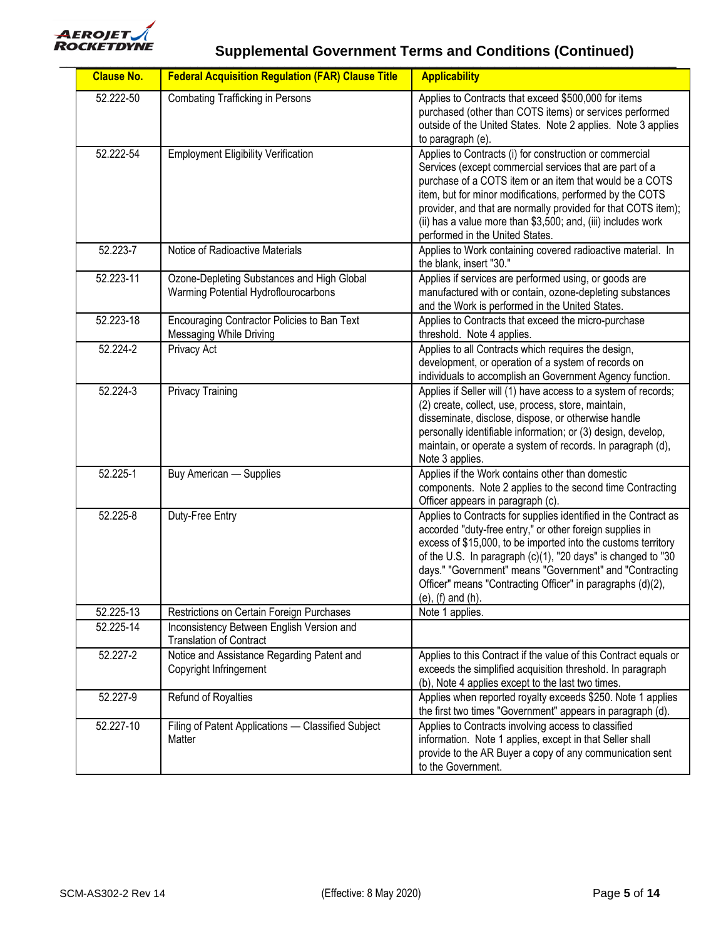

| <b>Clause No.</b> | <b>Federal Acquisition Regulation (FAR) Clause Title</b>                           | <b>Applicability</b>                                                                                                                                                                                                                                                                                                                                                                                               |
|-------------------|------------------------------------------------------------------------------------|--------------------------------------------------------------------------------------------------------------------------------------------------------------------------------------------------------------------------------------------------------------------------------------------------------------------------------------------------------------------------------------------------------------------|
| 52.222-50         | <b>Combating Trafficking in Persons</b>                                            | Applies to Contracts that exceed \$500,000 for items<br>purchased (other than COTS items) or services performed<br>outside of the United States. Note 2 applies. Note 3 applies<br>to paragraph (e).                                                                                                                                                                                                               |
| 52.222-54         | <b>Employment Eligibility Verification</b>                                         | Applies to Contracts (i) for construction or commercial<br>Services (except commercial services that are part of a<br>purchase of a COTS item or an item that would be a COTS<br>item, but for minor modifications, performed by the COTS<br>provider, and that are normally provided for that COTS item);<br>(ii) has a value more than \$3,500; and, (iii) includes work<br>performed in the United States.      |
| 52.223-7          | Notice of Radioactive Materials                                                    | Applies to Work containing covered radioactive material. In<br>the blank, insert "30."                                                                                                                                                                                                                                                                                                                             |
| 52.223-11         | Ozone-Depleting Substances and High Global<br>Warming Potential Hydroflourocarbons | Applies if services are performed using, or goods are<br>manufactured with or contain, ozone-depleting substances<br>and the Work is performed in the United States.                                                                                                                                                                                                                                               |
| 52.223-18         | Encouraging Contractor Policies to Ban Text<br>Messaging While Driving             | Applies to Contracts that exceed the micro-purchase<br>threshold. Note 4 applies.                                                                                                                                                                                                                                                                                                                                  |
| 52.224-2          | Privacy Act                                                                        | Applies to all Contracts which requires the design,<br>development, or operation of a system of records on<br>individuals to accomplish an Government Agency function.                                                                                                                                                                                                                                             |
| $52.224 - 3$      | <b>Privacy Training</b>                                                            | Applies if Seller will (1) have access to a system of records;<br>(2) create, collect, use, process, store, maintain,<br>disseminate, disclose, dispose, or otherwise handle<br>personally identifiable information; or (3) design, develop,<br>maintain, or operate a system of records. In paragraph (d),<br>Note 3 applies.                                                                                     |
| 52.225-1          | Buy American - Supplies                                                            | Applies if the Work contains other than domestic<br>components. Note 2 applies to the second time Contracting<br>Officer appears in paragraph (c).                                                                                                                                                                                                                                                                 |
| $52.225 - 8$      | Duty-Free Entry                                                                    | Applies to Contracts for supplies identified in the Contract as<br>accorded "duty-free entry," or other foreign supplies in<br>excess of \$15,000, to be imported into the customs territory<br>of the U.S. In paragraph (c)(1), "20 days" is changed to "30<br>days." "Government" means "Government" and "Contracting<br>Officer" means "Contracting Officer" in paragraphs (d)(2),<br>$(e)$ , $(f)$ and $(h)$ . |
| 52.225-13         | Restrictions on Certain Foreign Purchases                                          | Note 1 applies.                                                                                                                                                                                                                                                                                                                                                                                                    |
| 52.225-14         | Inconsistency Between English Version and<br><b>Translation of Contract</b>        |                                                                                                                                                                                                                                                                                                                                                                                                                    |
| 52.227-2          | Notice and Assistance Regarding Patent and<br>Copyright Infringement               | Applies to this Contract if the value of this Contract equals or<br>exceeds the simplified acquisition threshold. In paragraph<br>(b), Note 4 applies except to the last two times.                                                                                                                                                                                                                                |
| 52.227-9          | Refund of Royalties                                                                | Applies when reported royalty exceeds \$250. Note 1 applies<br>the first two times "Government" appears in paragraph (d).                                                                                                                                                                                                                                                                                          |
| 52.227-10         | Filing of Patent Applications - Classified Subject<br>Matter                       | Applies to Contracts involving access to classified<br>information. Note 1 applies, except in that Seller shall<br>provide to the AR Buyer a copy of any communication sent<br>to the Government.                                                                                                                                                                                                                  |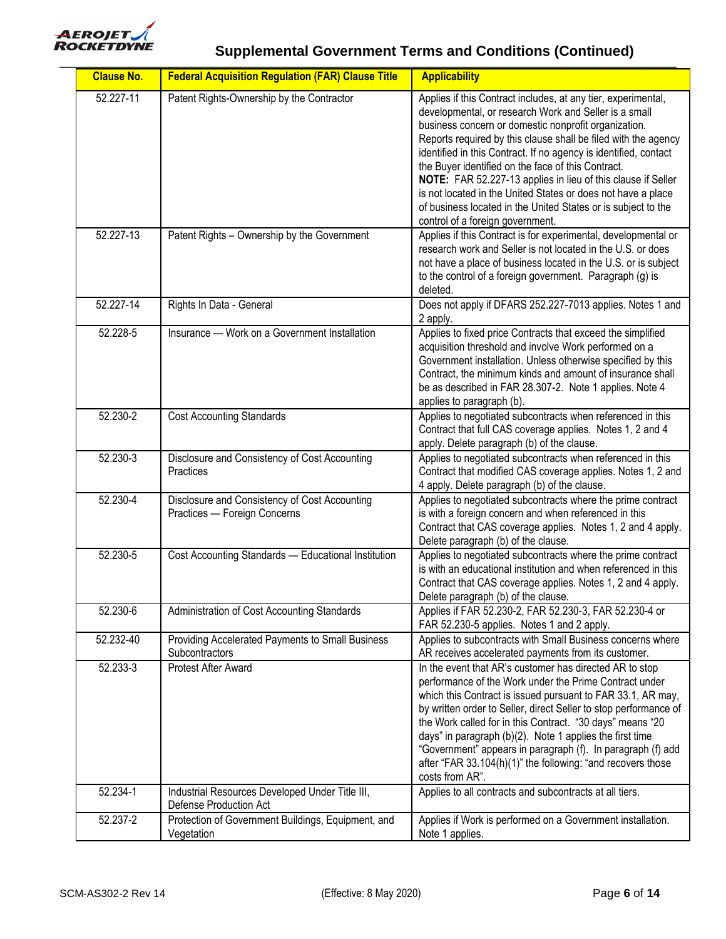

| <b>Clause No.</b> | <b>Federal Acquisition Regulation (FAR) Clause Title</b>                      | <b>Applicability</b>                                                                                                                                                                                                                                                                                                                                                                                                                                                                                                                                                                                            |
|-------------------|-------------------------------------------------------------------------------|-----------------------------------------------------------------------------------------------------------------------------------------------------------------------------------------------------------------------------------------------------------------------------------------------------------------------------------------------------------------------------------------------------------------------------------------------------------------------------------------------------------------------------------------------------------------------------------------------------------------|
| 52.227-11         | Patent Rights-Ownership by the Contractor                                     | Applies if this Contract includes, at any tier, experimental,<br>developmental, or research Work and Seller is a small<br>business concern or domestic nonprofit organization.<br>Reports required by this clause shall be filed with the agency<br>identified in this Contract. If no agency is identified, contact<br>the Buyer identified on the face of this Contract.<br>NOTE: FAR 52.227-13 applies in lieu of this clause if Seller<br>is not located in the United States or does not have a place<br>of business located in the United States or is subject to the<br>control of a foreign government. |
| 52.227-13         | Patent Rights - Ownership by the Government                                   | Applies if this Contract is for experimental, developmental or<br>research work and Seller is not located in the U.S. or does<br>not have a place of business located in the U.S. or is subject<br>to the control of a foreign government. Paragraph (g) is<br>deleted.                                                                                                                                                                                                                                                                                                                                         |
| 52.227-14         | Rights In Data - General                                                      | Does not apply if DFARS 252.227-7013 applies. Notes 1 and<br>2 apply.                                                                                                                                                                                                                                                                                                                                                                                                                                                                                                                                           |
| 52.228-5          | Insurance — Work on a Government Installation                                 | Applies to fixed price Contracts that exceed the simplified<br>acquisition threshold and involve Work performed on a<br>Government installation. Unless otherwise specified by this<br>Contract, the minimum kinds and amount of insurance shall<br>be as described in FAR 28.307-2. Note 1 applies. Note 4<br>applies to paragraph (b).                                                                                                                                                                                                                                                                        |
| 52.230-2          | <b>Cost Accounting Standards</b>                                              | Applies to negotiated subcontracts when referenced in this<br>Contract that full CAS coverage applies. Notes 1, 2 and 4<br>apply. Delete paragraph (b) of the clause.                                                                                                                                                                                                                                                                                                                                                                                                                                           |
| 52.230-3          | Disclosure and Consistency of Cost Accounting<br>Practices                    | Applies to negotiated subcontracts when referenced in this<br>Contract that modified CAS coverage applies. Notes 1, 2 and<br>4 apply. Delete paragraph (b) of the clause.                                                                                                                                                                                                                                                                                                                                                                                                                                       |
| 52.230-4          | Disclosure and Consistency of Cost Accounting<br>Practices - Foreign Concerns | Applies to negotiated subcontracts where the prime contract<br>is with a foreign concern and when referenced in this<br>Contract that CAS coverage applies. Notes 1, 2 and 4 apply.<br>Delete paragraph (b) of the clause.                                                                                                                                                                                                                                                                                                                                                                                      |
| 52.230-5          | Cost Accounting Standards - Educational Institution                           | Applies to negotiated subcontracts where the prime contract<br>is with an educational institution and when referenced in this<br>Contract that CAS coverage applies. Notes 1, 2 and 4 apply.<br>Delete paragraph (b) of the clause.                                                                                                                                                                                                                                                                                                                                                                             |
| 52.230-6          | Administration of Cost Accounting Standards                                   | Applies if FAR 52.230-2, FAR 52.230-3, FAR 52.230-4 or<br>FAR 52.230-5 applies. Notes 1 and 2 apply.                                                                                                                                                                                                                                                                                                                                                                                                                                                                                                            |
| 52.232-40         | Providing Accelerated Payments to Small Business<br>Subcontractors            | Applies to subcontracts with Small Business concerns where<br>AR receives accelerated payments from its customer.                                                                                                                                                                                                                                                                                                                                                                                                                                                                                               |
| 52.233-3          | <b>Protest After Award</b>                                                    | In the event that AR's customer has directed AR to stop<br>performance of the Work under the Prime Contract under<br>which this Contract is issued pursuant to FAR 33.1, AR may,<br>by written order to Seller, direct Seller to stop performance of<br>the Work called for in this Contract. "30 days" means "20<br>days" in paragraph (b)(2). Note 1 applies the first time<br>"Government" appears in paragraph (f). In paragraph (f) add<br>after "FAR 33.104(h)(1)" the following: "and recovers those<br>costs from AR".                                                                                  |
| 52.234-1          | Industrial Resources Developed Under Title III,<br>Defense Production Act     | Applies to all contracts and subcontracts at all tiers.                                                                                                                                                                                                                                                                                                                                                                                                                                                                                                                                                         |
| 52.237-2          | Protection of Government Buildings, Equipment, and<br>Vegetation              | Applies if Work is performed on a Government installation.<br>Note 1 applies.                                                                                                                                                                                                                                                                                                                                                                                                                                                                                                                                   |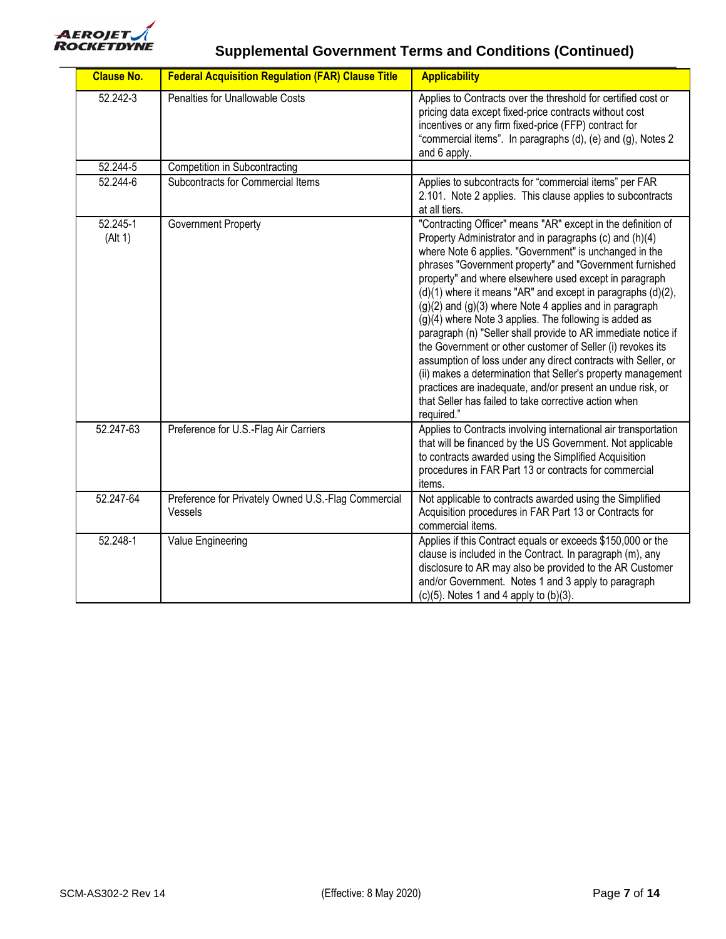

| <b>Clause No.</b>   | <b>Federal Acquisition Regulation (FAR) Clause Title</b>       | <b>Applicability</b>                                                                                                                                                                                                                                                                                                                                                                                                                                                                                                                                                                                                                                                                                                                                                                                                                                                                                       |
|---------------------|----------------------------------------------------------------|------------------------------------------------------------------------------------------------------------------------------------------------------------------------------------------------------------------------------------------------------------------------------------------------------------------------------------------------------------------------------------------------------------------------------------------------------------------------------------------------------------------------------------------------------------------------------------------------------------------------------------------------------------------------------------------------------------------------------------------------------------------------------------------------------------------------------------------------------------------------------------------------------------|
| 52.242-3            | Penalties for Unallowable Costs                                | Applies to Contracts over the threshold for certified cost or<br>pricing data except fixed-price contracts without cost<br>incentives or any firm fixed-price (FFP) contract for<br>"commercial items". In paragraphs (d), (e) and (g), Notes 2<br>and 6 apply.                                                                                                                                                                                                                                                                                                                                                                                                                                                                                                                                                                                                                                            |
| 52.244-5            | <b>Competition in Subcontracting</b>                           |                                                                                                                                                                                                                                                                                                                                                                                                                                                                                                                                                                                                                                                                                                                                                                                                                                                                                                            |
| 52.244-6            | Subcontracts for Commercial Items                              | Applies to subcontracts for "commercial items" per FAR<br>2.101. Note 2 applies. This clause applies to subcontracts<br>at all tiers.                                                                                                                                                                                                                                                                                                                                                                                                                                                                                                                                                                                                                                                                                                                                                                      |
| 52.245-1<br>(AIt 1) | Government Property                                            | "Contracting Officer" means "AR" except in the definition of<br>Property Administrator and in paragraphs (c) and (h)(4)<br>where Note 6 applies. "Government" is unchanged in the<br>phrases "Government property" and "Government furnished<br>property" and where elsewhere used except in paragraph<br>$(d)(1)$ where it means "AR" and except in paragraphs $(d)(2)$ ,<br>$(g)(2)$ and $(g)(3)$ where Note 4 applies and in paragraph<br>$(g)(4)$ where Note 3 applies. The following is added as<br>paragraph (n) "Seller shall provide to AR immediate notice if<br>the Government or other customer of Seller (i) revokes its<br>assumption of loss under any direct contracts with Seller, or<br>(ii) makes a determination that Seller's property management<br>practices are inadequate, and/or present an undue risk, or<br>that Seller has failed to take corrective action when<br>required." |
| 52.247-63           | Preference for U.S.-Flag Air Carriers                          | Applies to Contracts involving international air transportation<br>that will be financed by the US Government. Not applicable<br>to contracts awarded using the Simplified Acquisition<br>procedures in FAR Part 13 or contracts for commercial<br>items.                                                                                                                                                                                                                                                                                                                                                                                                                                                                                                                                                                                                                                                  |
| 52.247-64           | Preference for Privately Owned U.S.-Flag Commercial<br>Vessels | Not applicable to contracts awarded using the Simplified<br>Acquisition procedures in FAR Part 13 or Contracts for<br>commercial items.                                                                                                                                                                                                                                                                                                                                                                                                                                                                                                                                                                                                                                                                                                                                                                    |
| 52.248-1            | Value Engineering                                              | Applies if this Contract equals or exceeds \$150,000 or the<br>clause is included in the Contract. In paragraph (m), any<br>disclosure to AR may also be provided to the AR Customer<br>and/or Government. Notes 1 and 3 apply to paragraph<br>$(c)(5)$ . Notes 1 and 4 apply to $(b)(3)$ .                                                                                                                                                                                                                                                                                                                                                                                                                                                                                                                                                                                                                |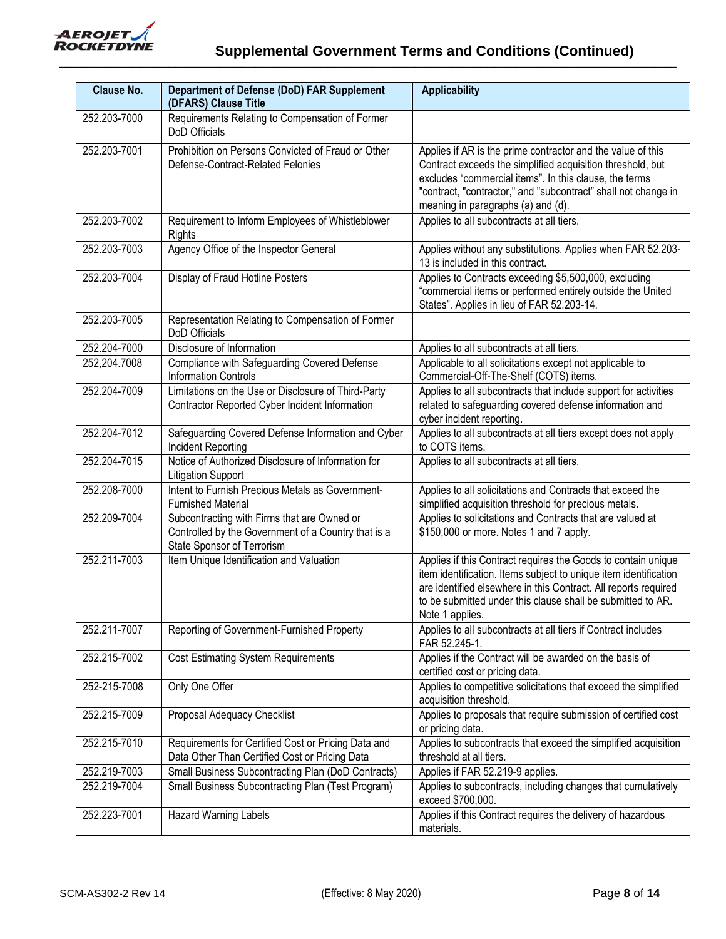

| <b>Clause No.</b> | Department of Defense (DoD) FAR Supplement<br>(DFARS) Clause Title                                                               | <b>Applicability</b>                                                                                                                                                                                                                                                                        |
|-------------------|----------------------------------------------------------------------------------------------------------------------------------|---------------------------------------------------------------------------------------------------------------------------------------------------------------------------------------------------------------------------------------------------------------------------------------------|
| 252.203-7000      | Requirements Relating to Compensation of Former<br>DoD Officials                                                                 |                                                                                                                                                                                                                                                                                             |
| 252.203-7001      | Prohibition on Persons Convicted of Fraud or Other<br>Defense-Contract-Related Felonies                                          | Applies if AR is the prime contractor and the value of this<br>Contract exceeds the simplified acquisition threshold, but<br>excludes "commercial items". In this clause, the terms<br>"contract, "contractor," and "subcontract" shall not change in<br>meaning in paragraphs (a) and (d). |
| 252.203-7002      | Requirement to Inform Employees of Whistleblower<br>Rights                                                                       | Applies to all subcontracts at all tiers.                                                                                                                                                                                                                                                   |
| 252.203-7003      | Agency Office of the Inspector General                                                                                           | Applies without any substitutions. Applies when FAR 52.203-<br>13 is included in this contract.                                                                                                                                                                                             |
| 252.203-7004      | Display of Fraud Hotline Posters                                                                                                 | Applies to Contracts exceeding \$5,500,000, excluding<br>"commercial items or performed entirely outside the United<br>States". Applies in lieu of FAR 52.203-14.                                                                                                                           |
| 252.203-7005      | Representation Relating to Compensation of Former<br>DoD Officials                                                               |                                                                                                                                                                                                                                                                                             |
| 252.204-7000      | Disclosure of Information                                                                                                        | Applies to all subcontracts at all tiers.                                                                                                                                                                                                                                                   |
| 252,204.7008      | Compliance with Safeguarding Covered Defense<br><b>Information Controls</b>                                                      | Applicable to all solicitations except not applicable to<br>Commercial-Off-The-Shelf (COTS) items.                                                                                                                                                                                          |
| 252.204-7009      | Limitations on the Use or Disclosure of Third-Party<br>Contractor Reported Cyber Incident Information                            | Applies to all subcontracts that include support for activities<br>related to safeguarding covered defense information and<br>cyber incident reporting.                                                                                                                                     |
| 252.204-7012      | Safeguarding Covered Defense Information and Cyber<br>Incident Reporting                                                         | Applies to all subcontracts at all tiers except does not apply<br>to COTS items.                                                                                                                                                                                                            |
| 252.204-7015      | Notice of Authorized Disclosure of Information for<br><b>Litigation Support</b>                                                  | Applies to all subcontracts at all tiers.                                                                                                                                                                                                                                                   |
| 252.208-7000      | Intent to Furnish Precious Metals as Government-<br><b>Furnished Material</b>                                                    | Applies to all solicitations and Contracts that exceed the<br>simplified acquisition threshold for precious metals.                                                                                                                                                                         |
| 252.209-7004      | Subcontracting with Firms that are Owned or<br>Controlled by the Government of a Country that is a<br>State Sponsor of Terrorism | Applies to solicitations and Contracts that are valued at<br>\$150,000 or more. Notes 1 and 7 apply.                                                                                                                                                                                        |
| 252.211-7003      | Item Unique Identification and Valuation                                                                                         | Applies if this Contract requires the Goods to contain unique<br>item identification. Items subject to unique item identification<br>are identified elsewhere in this Contract. All reports required<br>to be submitted under this clause shall be submitted to AR.<br>Note 1 applies.      |
| 252.211-7007      | Reporting of Government-Furnished Property                                                                                       | Applies to all subcontracts at all tiers if Contract includes<br>FAR 52.245-1.                                                                                                                                                                                                              |
| 252.215-7002      | <b>Cost Estimating System Requirements</b>                                                                                       | Applies if the Contract will be awarded on the basis of<br>certified cost or pricing data.                                                                                                                                                                                                  |
| 252-215-7008      | Only One Offer                                                                                                                   | Applies to competitive solicitations that exceed the simplified<br>acquisition threshold.                                                                                                                                                                                                   |
| 252.215-7009      | Proposal Adequacy Checklist                                                                                                      | Applies to proposals that require submission of certified cost<br>or pricing data.                                                                                                                                                                                                          |
| 252.215-7010      | Requirements for Certified Cost or Pricing Data and<br>Data Other Than Certified Cost or Pricing Data                            | Applies to subcontracts that exceed the simplified acquisition<br>threshold at all tiers.                                                                                                                                                                                                   |
| 252.219-7003      | Small Business Subcontracting Plan (DoD Contracts)                                                                               | Applies if FAR 52.219-9 applies.                                                                                                                                                                                                                                                            |
| 252.219-7004      | Small Business Subcontracting Plan (Test Program)                                                                                | Applies to subcontracts, including changes that cumulatively<br>exceed \$700,000.                                                                                                                                                                                                           |
| 252.223-7001      | <b>Hazard Warning Labels</b>                                                                                                     | Applies if this Contract requires the delivery of hazardous<br>materials.                                                                                                                                                                                                                   |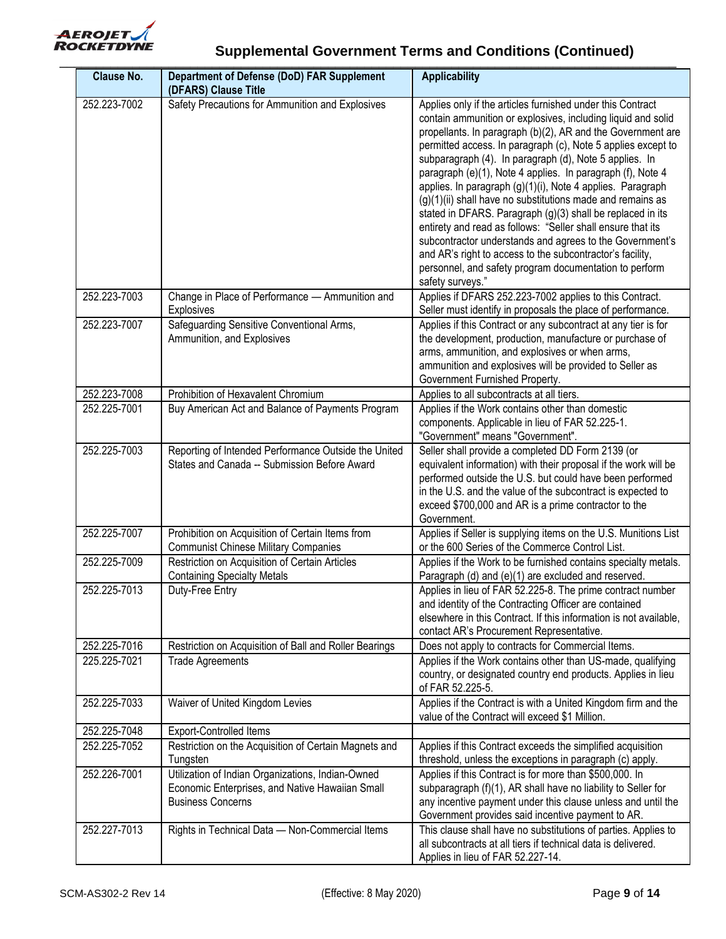

| <b>Clause No.</b> | <b>Department of Defense (DoD) FAR Supplement</b><br>(DFARS) Clause Title                                                        | <b>Applicability</b>                                                                                                                                                                                                                                                                                                                                                                                                                                                                                                                                                                                                                                                                                                                                                                                                                              |
|-------------------|----------------------------------------------------------------------------------------------------------------------------------|---------------------------------------------------------------------------------------------------------------------------------------------------------------------------------------------------------------------------------------------------------------------------------------------------------------------------------------------------------------------------------------------------------------------------------------------------------------------------------------------------------------------------------------------------------------------------------------------------------------------------------------------------------------------------------------------------------------------------------------------------------------------------------------------------------------------------------------------------|
| 252.223-7002      | Safety Precautions for Ammunition and Explosives                                                                                 | Applies only if the articles furnished under this Contract<br>contain ammunition or explosives, including liquid and solid<br>propellants. In paragraph (b)(2), AR and the Government are<br>permitted access. In paragraph (c), Note 5 applies except to<br>subparagraph (4). In paragraph (d), Note 5 applies. In<br>paragraph (e)(1), Note 4 applies. In paragraph (f), Note 4<br>applies. In paragraph (g)(1)(i), Note 4 applies. Paragraph<br>(g)(1)(ii) shall have no substitutions made and remains as<br>stated in DFARS. Paragraph (g)(3) shall be replaced in its<br>entirety and read as follows: "Seller shall ensure that its<br>subcontractor understands and agrees to the Government's<br>and AR's right to access to the subcontractor's facility,<br>personnel, and safety program documentation to perform<br>safety surveys." |
| 252.223-7003      | Change in Place of Performance - Ammunition and<br>Explosives                                                                    | Applies if DFARS 252.223-7002 applies to this Contract.<br>Seller must identify in proposals the place of performance.                                                                                                                                                                                                                                                                                                                                                                                                                                                                                                                                                                                                                                                                                                                            |
| 252.223-7007      | Safeguarding Sensitive Conventional Arms,<br>Ammunition, and Explosives                                                          | Applies if this Contract or any subcontract at any tier is for<br>the development, production, manufacture or purchase of<br>arms, ammunition, and explosives or when arms,<br>ammunition and explosives will be provided to Seller as<br>Government Furnished Property.                                                                                                                                                                                                                                                                                                                                                                                                                                                                                                                                                                          |
| 252.223-7008      | Prohibition of Hexavalent Chromium                                                                                               | Applies to all subcontracts at all tiers.                                                                                                                                                                                                                                                                                                                                                                                                                                                                                                                                                                                                                                                                                                                                                                                                         |
| 252.225-7001      | Buy American Act and Balance of Payments Program                                                                                 | Applies if the Work contains other than domestic<br>components. Applicable in lieu of FAR 52.225-1.<br>"Government" means "Government".                                                                                                                                                                                                                                                                                                                                                                                                                                                                                                                                                                                                                                                                                                           |
| 252.225-7003      | Reporting of Intended Performance Outside the United<br>States and Canada -- Submission Before Award                             | Seller shall provide a completed DD Form 2139 (or<br>equivalent information) with their proposal if the work will be<br>performed outside the U.S. but could have been performed<br>in the U.S. and the value of the subcontract is expected to<br>exceed \$700,000 and AR is a prime contractor to the<br>Government.                                                                                                                                                                                                                                                                                                                                                                                                                                                                                                                            |
| 252.225-7007      | Prohibition on Acquisition of Certain Items from<br><b>Communist Chinese Military Companies</b>                                  | Applies if Seller is supplying items on the U.S. Munitions List<br>or the 600 Series of the Commerce Control List.                                                                                                                                                                                                                                                                                                                                                                                                                                                                                                                                                                                                                                                                                                                                |
| 252.225-7009      | Restriction on Acquisition of Certain Articles<br><b>Containing Specialty Metals</b>                                             | Applies if the Work to be furnished contains specialty metals.<br>Paragraph (d) and (e)(1) are excluded and reserved.                                                                                                                                                                                                                                                                                                                                                                                                                                                                                                                                                                                                                                                                                                                             |
| 252.225-7013      | Duty-Free Entry                                                                                                                  | Applies in lieu of FAR 52.225-8. The prime contract number<br>and identity of the Contracting Officer are contained<br>elsewhere in this Contract. If this information is not available,<br>contact AR's Procurement Representative.                                                                                                                                                                                                                                                                                                                                                                                                                                                                                                                                                                                                              |
| 252.225-7016      | Restriction on Acquisition of Ball and Roller Bearings                                                                           | Does not apply to contracts for Commercial Items.                                                                                                                                                                                                                                                                                                                                                                                                                                                                                                                                                                                                                                                                                                                                                                                                 |
| 225.225-7021      | <b>Trade Agreements</b>                                                                                                          | Applies if the Work contains other than US-made, qualifying<br>country, or designated country end products. Applies in lieu<br>of FAR 52.225-5.                                                                                                                                                                                                                                                                                                                                                                                                                                                                                                                                                                                                                                                                                                   |
| 252.225-7033      | Waiver of United Kingdom Levies                                                                                                  | Applies if the Contract is with a United Kingdom firm and the<br>value of the Contract will exceed \$1 Million.                                                                                                                                                                                                                                                                                                                                                                                                                                                                                                                                                                                                                                                                                                                                   |
| 252.225-7048      | Export-Controlled Items                                                                                                          |                                                                                                                                                                                                                                                                                                                                                                                                                                                                                                                                                                                                                                                                                                                                                                                                                                                   |
| 252.225-7052      | Restriction on the Acquisition of Certain Magnets and<br>Tungsten                                                                | Applies if this Contract exceeds the simplified acquisition<br>threshold, unless the exceptions in paragraph (c) apply.                                                                                                                                                                                                                                                                                                                                                                                                                                                                                                                                                                                                                                                                                                                           |
| 252.226-7001      | Utilization of Indian Organizations, Indian-Owned<br>Economic Enterprises, and Native Hawaiian Small<br><b>Business Concerns</b> | Applies if this Contract is for more than \$500,000. In<br>subparagraph (f)(1), AR shall have no liability to Seller for<br>any incentive payment under this clause unless and until the<br>Government provides said incentive payment to AR.                                                                                                                                                                                                                                                                                                                                                                                                                                                                                                                                                                                                     |
| 252.227-7013      | Rights in Technical Data - Non-Commercial Items                                                                                  | This clause shall have no substitutions of parties. Applies to<br>all subcontracts at all tiers if technical data is delivered.<br>Applies in lieu of FAR 52.227-14.                                                                                                                                                                                                                                                                                                                                                                                                                                                                                                                                                                                                                                                                              |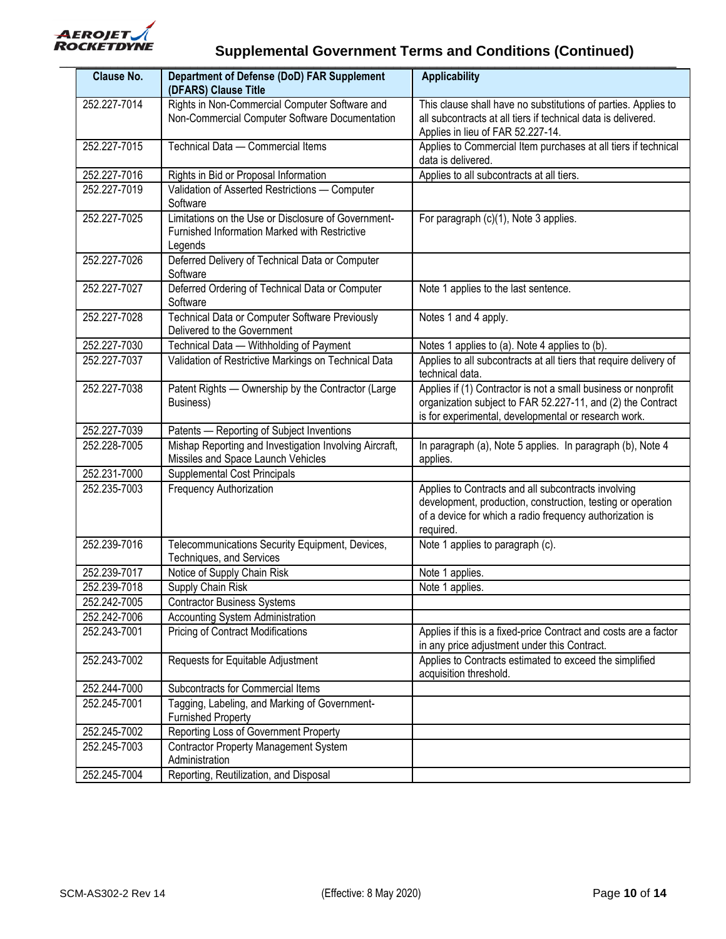

| <b>Clause No.</b> | Department of Defense (DoD) FAR Supplement<br>(DFARS) Clause Title                                              | <b>Applicability</b>                                                                                                                                                                        |
|-------------------|-----------------------------------------------------------------------------------------------------------------|---------------------------------------------------------------------------------------------------------------------------------------------------------------------------------------------|
| 252.227-7014      | Rights in Non-Commercial Computer Software and<br>Non-Commercial Computer Software Documentation                | This clause shall have no substitutions of parties. Applies to<br>all subcontracts at all tiers if technical data is delivered.<br>Applies in lieu of FAR 52.227-14.                        |
| 252.227-7015      | Technical Data - Commercial Items                                                                               | Applies to Commercial Item purchases at all tiers if technical<br>data is delivered.                                                                                                        |
| 252.227-7016      | Rights in Bid or Proposal Information                                                                           | Applies to all subcontracts at all tiers.                                                                                                                                                   |
| 252.227-7019      | Validation of Asserted Restrictions - Computer<br>Software                                                      |                                                                                                                                                                                             |
| 252.227-7025      | Limitations on the Use or Disclosure of Government-<br>Furnished Information Marked with Restrictive<br>Legends | For paragraph (c)(1), Note 3 applies.                                                                                                                                                       |
| 252.227-7026      | Deferred Delivery of Technical Data or Computer<br>Software                                                     |                                                                                                                                                                                             |
| 252.227-7027      | Deferred Ordering of Technical Data or Computer<br>Software                                                     | Note 1 applies to the last sentence.                                                                                                                                                        |
| 252.227-7028      | Technical Data or Computer Software Previously<br>Delivered to the Government                                   | Notes 1 and 4 apply.                                                                                                                                                                        |
| 252.227-7030      | Technical Data - Withholding of Payment                                                                         | Notes 1 applies to (a). Note 4 applies to (b).                                                                                                                                              |
| 252.227-7037      | Validation of Restrictive Markings on Technical Data                                                            | Applies to all subcontracts at all tiers that require delivery of<br>technical data.                                                                                                        |
| 252.227-7038      | Patent Rights - Ownership by the Contractor (Large<br>Business)                                                 | Applies if (1) Contractor is not a small business or nonprofit<br>organization subject to FAR 52.227-11, and (2) the Contract<br>is for experimental, developmental or research work.       |
| 252.227-7039      | Patents - Reporting of Subject Inventions                                                                       |                                                                                                                                                                                             |
| 252.228-7005      | Mishap Reporting and Investigation Involving Aircraft,<br>Missiles and Space Launch Vehicles                    | In paragraph (a), Note 5 applies. In paragraph (b), Note 4<br>applies.                                                                                                                      |
| 252.231-7000      | Supplemental Cost Principals                                                                                    |                                                                                                                                                                                             |
| 252.235-7003      | Frequency Authorization                                                                                         | Applies to Contracts and all subcontracts involving<br>development, production, construction, testing or operation<br>of a device for which a radio frequency authorization is<br>required. |
| 252.239-7016      | Telecommunications Security Equipment, Devices,<br>Techniques, and Services                                     | Note 1 applies to paragraph (c).                                                                                                                                                            |
| 252.239-7017      | Notice of Supply Chain Risk                                                                                     | Note 1 applies.                                                                                                                                                                             |
| 252.239-7018      | Supply Chain Risk                                                                                               | Note 1 applies.                                                                                                                                                                             |
| 252.242-7005      | <b>Contractor Business Systems</b>                                                                              |                                                                                                                                                                                             |
| 252.242-7006      | Accounting System Administration                                                                                |                                                                                                                                                                                             |
| 252.243-7001      | <b>Pricing of Contract Modifications</b>                                                                        | Applies if this is a fixed-price Contract and costs are a factor<br>in any price adjustment under this Contract.                                                                            |
| 252.243-7002      | Requests for Equitable Adjustment                                                                               | Applies to Contracts estimated to exceed the simplified<br>acquisition threshold.                                                                                                           |
| 252.244-7000      | Subcontracts for Commercial Items                                                                               |                                                                                                                                                                                             |
| 252.245-7001      | Tagging, Labeling, and Marking of Government-<br><b>Furnished Property</b>                                      |                                                                                                                                                                                             |
| 252.245-7002      | Reporting Loss of Government Property                                                                           |                                                                                                                                                                                             |
| 252.245-7003      | <b>Contractor Property Management System</b><br>Administration                                                  |                                                                                                                                                                                             |
| 252.245-7004      | Reporting, Reutilization, and Disposal                                                                          |                                                                                                                                                                                             |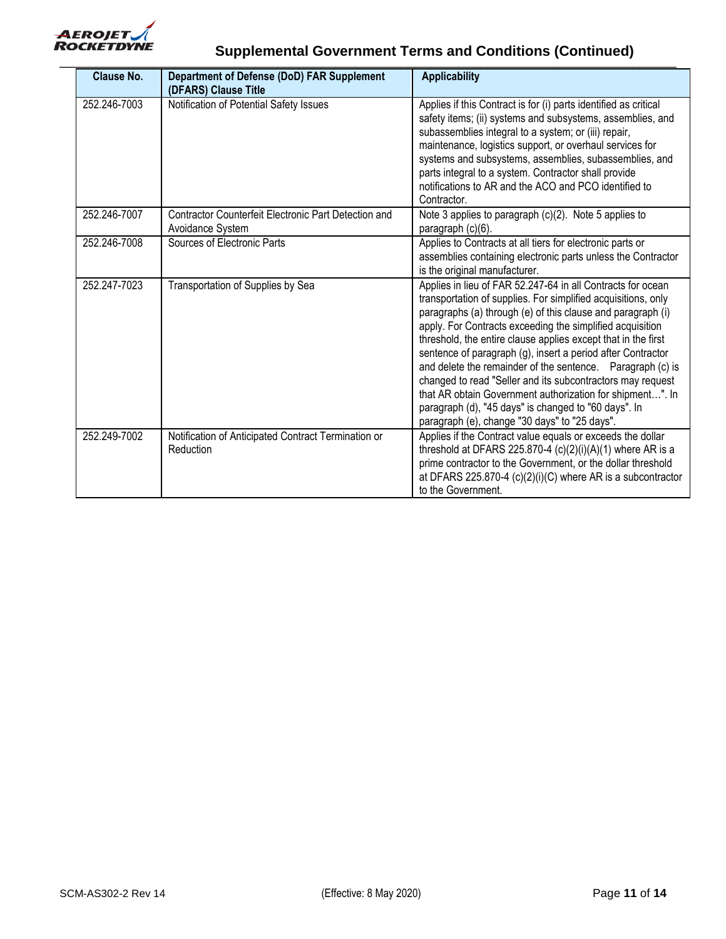

| <b>Clause No.</b> | <b>Department of Defense (DoD) FAR Supplement</b><br>(DFARS) Clause Title | <b>Applicability</b>                                                                                                                                                                                                                                                                                                                                                                                                                                                                                                                                                                                                                                                                       |
|-------------------|---------------------------------------------------------------------------|--------------------------------------------------------------------------------------------------------------------------------------------------------------------------------------------------------------------------------------------------------------------------------------------------------------------------------------------------------------------------------------------------------------------------------------------------------------------------------------------------------------------------------------------------------------------------------------------------------------------------------------------------------------------------------------------|
| 252.246-7003      | Notification of Potential Safety Issues                                   | Applies if this Contract is for (i) parts identified as critical<br>safety items; (ii) systems and subsystems, assemblies, and<br>subassemblies integral to a system; or (iii) repair,<br>maintenance, logistics support, or overhaul services for<br>systems and subsystems, assemblies, subassemblies, and<br>parts integral to a system. Contractor shall provide<br>notifications to AR and the ACO and PCO identified to<br>Contractor.                                                                                                                                                                                                                                               |
| 252.246-7007      | Contractor Counterfeit Electronic Part Detection and<br>Avoidance System  | Note 3 applies to paragraph (c)(2). Note 5 applies to<br>paragraph (c)(6).                                                                                                                                                                                                                                                                                                                                                                                                                                                                                                                                                                                                                 |
| 252.246-7008      | Sources of Electronic Parts                                               | Applies to Contracts at all tiers for electronic parts or<br>assemblies containing electronic parts unless the Contractor<br>is the original manufacturer.                                                                                                                                                                                                                                                                                                                                                                                                                                                                                                                                 |
| 252.247-7023      | Transportation of Supplies by Sea                                         | Applies in lieu of FAR 52.247-64 in all Contracts for ocean<br>transportation of supplies. For simplified acquisitions, only<br>paragraphs (a) through (e) of this clause and paragraph (i)<br>apply. For Contracts exceeding the simplified acquisition<br>threshold, the entire clause applies except that in the first<br>sentence of paragraph (g), insert a period after Contractor<br>and delete the remainder of the sentence. Paragraph (c) is<br>changed to read "Seller and its subcontractors may request<br>that AR obtain Government authorization for shipment". In<br>paragraph (d), "45 days" is changed to "60 days". In<br>paragraph (e), change "30 days" to "25 days". |
| 252.249-7002      | Notification of Anticipated Contract Termination or<br>Reduction          | Applies if the Contract value equals or exceeds the dollar<br>threshold at DFARS 225.870-4 $(c)(2)(i)(A)(1)$ where AR is a<br>prime contractor to the Government, or the dollar threshold<br>at DFARS 225.870-4 (c)(2)(i)(C) where AR is a subcontractor<br>to the Government.                                                                                                                                                                                                                                                                                                                                                                                                             |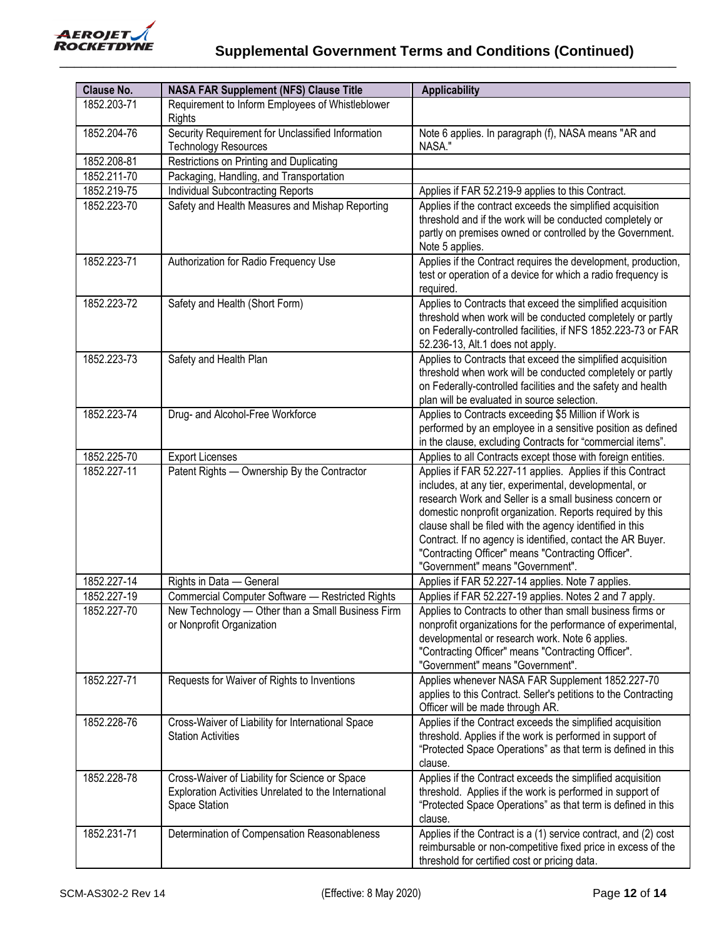

| <b>Clause No.</b> | <b>NASA FAR Supplement (NFS) Clause Title</b>                                                                            | <b>Applicability</b>                                                                                                                                                                                                                                                                                                                                                                                                                                              |
|-------------------|--------------------------------------------------------------------------------------------------------------------------|-------------------------------------------------------------------------------------------------------------------------------------------------------------------------------------------------------------------------------------------------------------------------------------------------------------------------------------------------------------------------------------------------------------------------------------------------------------------|
| 1852.203-71       | Requirement to Inform Employees of Whistleblower<br>Rights                                                               |                                                                                                                                                                                                                                                                                                                                                                                                                                                                   |
| 1852.204-76       | Security Requirement for Unclassified Information<br><b>Technology Resources</b>                                         | Note 6 applies. In paragraph (f), NASA means "AR and<br>NASA."                                                                                                                                                                                                                                                                                                                                                                                                    |
| 1852.208-81       | Restrictions on Printing and Duplicating                                                                                 |                                                                                                                                                                                                                                                                                                                                                                                                                                                                   |
| 1852.211-70       | Packaging, Handling, and Transportation                                                                                  |                                                                                                                                                                                                                                                                                                                                                                                                                                                                   |
| 1852.219-75       | <b>Individual Subcontracting Reports</b>                                                                                 | Applies if FAR 52.219-9 applies to this Contract.                                                                                                                                                                                                                                                                                                                                                                                                                 |
| 1852.223-70       | Safety and Health Measures and Mishap Reporting                                                                          | Applies if the contract exceeds the simplified acquisition<br>threshold and if the work will be conducted completely or<br>partly on premises owned or controlled by the Government.<br>Note 5 applies.                                                                                                                                                                                                                                                           |
| 1852.223-71       | Authorization for Radio Frequency Use                                                                                    | Applies if the Contract requires the development, production,<br>test or operation of a device for which a radio frequency is<br>required.                                                                                                                                                                                                                                                                                                                        |
| 1852.223-72       | Safety and Health (Short Form)                                                                                           | Applies to Contracts that exceed the simplified acquisition<br>threshold when work will be conducted completely or partly<br>on Federally-controlled facilities, if NFS 1852.223-73 or FAR<br>52.236-13, Alt.1 does not apply.                                                                                                                                                                                                                                    |
| 1852.223-73       | Safety and Health Plan                                                                                                   | Applies to Contracts that exceed the simplified acquisition<br>threshold when work will be conducted completely or partly<br>on Federally-controlled facilities and the safety and health<br>plan will be evaluated in source selection.                                                                                                                                                                                                                          |
| 1852.223-74       | Drug- and Alcohol-Free Workforce                                                                                         | Applies to Contracts exceeding \$5 Million if Work is<br>performed by an employee in a sensitive position as defined<br>in the clause, excluding Contracts for "commercial items".                                                                                                                                                                                                                                                                                |
| 1852.225-70       | <b>Export Licenses</b>                                                                                                   | Applies to all Contracts except those with foreign entities.                                                                                                                                                                                                                                                                                                                                                                                                      |
| 1852.227-11       | Patent Rights - Ownership By the Contractor                                                                              | Applies if FAR 52.227-11 applies. Applies if this Contract<br>includes, at any tier, experimental, developmental, or<br>research Work and Seller is a small business concern or<br>domestic nonprofit organization. Reports required by this<br>clause shall be filed with the agency identified in this<br>Contract. If no agency is identified, contact the AR Buyer.<br>"Contracting Officer" means "Contracting Officer".<br>"Government" means "Government". |
| 1852.227-14       | Rights in Data - General                                                                                                 | Applies if FAR 52.227-14 applies. Note 7 applies.                                                                                                                                                                                                                                                                                                                                                                                                                 |
| 1852.227-19       | Commercial Computer Software - Restricted Rights                                                                         | Applies if FAR 52.227-19 applies. Notes 2 and 7 apply.                                                                                                                                                                                                                                                                                                                                                                                                            |
| 1852.227-70       | New Technology - Other than a Small Business Firm<br>or Nonprofit Organization                                           | Applies to Contracts to other than small business firms or<br>nonprofit organizations for the performance of experimental,<br>developmental or research work. Note 6 applies.<br>"Contracting Officer" means "Contracting Officer".<br>"Government" means "Government".                                                                                                                                                                                           |
| 1852.227-71       | Requests for Waiver of Rights to Inventions                                                                              | Applies whenever NASA FAR Supplement 1852.227-70<br>applies to this Contract. Seller's petitions to the Contracting<br>Officer will be made through AR.                                                                                                                                                                                                                                                                                                           |
| 1852.228-76       | Cross-Waiver of Liability for International Space<br><b>Station Activities</b>                                           | Applies if the Contract exceeds the simplified acquisition<br>threshold. Applies if the work is performed in support of<br>"Protected Space Operations" as that term is defined in this<br>clause.                                                                                                                                                                                                                                                                |
| 1852.228-78       | Cross-Waiver of Liability for Science or Space<br>Exploration Activities Unrelated to the International<br>Space Station | Applies if the Contract exceeds the simplified acquisition<br>threshold. Applies if the work is performed in support of<br>"Protected Space Operations" as that term is defined in this<br>clause.                                                                                                                                                                                                                                                                |
| 1852.231-71       | Determination of Compensation Reasonableness                                                                             | Applies if the Contract is a (1) service contract, and (2) cost<br>reimbursable or non-competitive fixed price in excess of the<br>threshold for certified cost or pricing data.                                                                                                                                                                                                                                                                                  |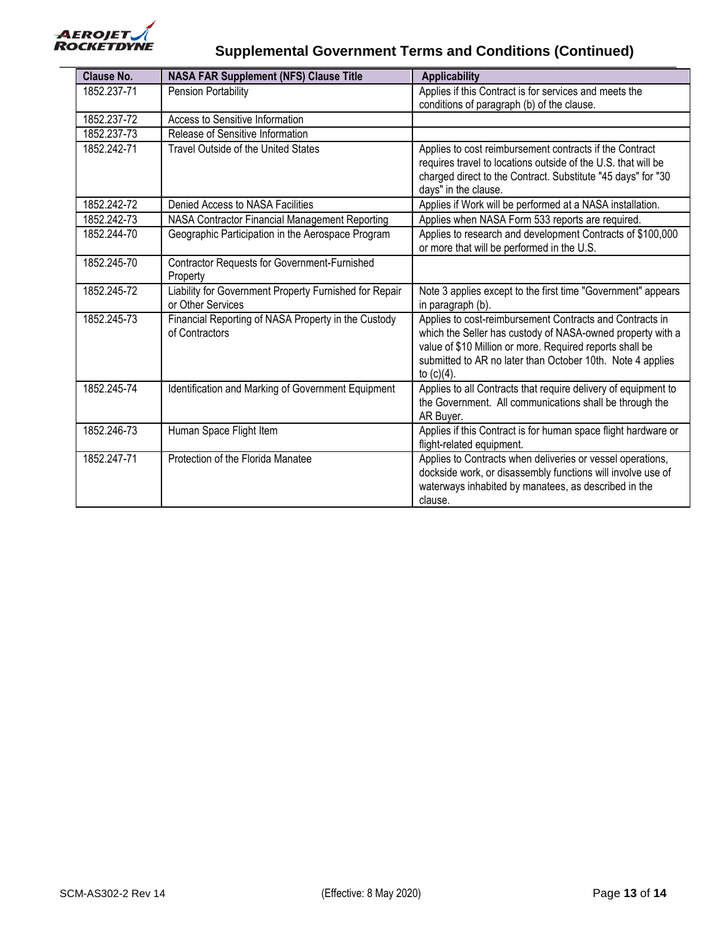

| <b>Clause No.</b> | <b>NASA FAR Supplement (NFS) Clause Title</b>                               | <b>Applicability</b>                                                                                                                                                                                                                                              |
|-------------------|-----------------------------------------------------------------------------|-------------------------------------------------------------------------------------------------------------------------------------------------------------------------------------------------------------------------------------------------------------------|
| 1852.237-71       | Pension Portability                                                         | Applies if this Contract is for services and meets the                                                                                                                                                                                                            |
|                   |                                                                             | conditions of paragraph (b) of the clause.                                                                                                                                                                                                                        |
| 1852.237-72       | Access to Sensitive Information                                             |                                                                                                                                                                                                                                                                   |
| 1852.237-73       | Release of Sensitive Information                                            |                                                                                                                                                                                                                                                                   |
| 1852.242-71       | <b>Travel Outside of the United States</b>                                  | Applies to cost reimbursement contracts if the Contract<br>requires travel to locations outside of the U.S. that will be<br>charged direct to the Contract. Substitute "45 days" for "30<br>days" in the clause.                                                  |
| 1852.242-72       | Denied Access to NASA Facilities                                            | Applies if Work will be performed at a NASA installation.                                                                                                                                                                                                         |
| 1852.242-73       | NASA Contractor Financial Management Reporting                              | Applies when NASA Form 533 reports are required.                                                                                                                                                                                                                  |
| 1852.244-70       | Geographic Participation in the Aerospace Program                           | Applies to research and development Contracts of \$100,000<br>or more that will be performed in the U.S.                                                                                                                                                          |
| 1852.245-70       | Contractor Requests for Government-Furnished<br>Property                    |                                                                                                                                                                                                                                                                   |
| 1852.245-72       | Liability for Government Property Furnished for Repair<br>or Other Services | Note 3 applies except to the first time "Government" appears<br>in paragraph (b).                                                                                                                                                                                 |
| 1852.245-73       | Financial Reporting of NASA Property in the Custody<br>of Contractors       | Applies to cost-reimbursement Contracts and Contracts in<br>which the Seller has custody of NASA-owned property with a<br>value of \$10 Million or more. Required reports shall be<br>submitted to AR no later than October 10th. Note 4 applies<br>to $(c)(4)$ . |
| 1852.245-74       | Identification and Marking of Government Equipment                          | Applies to all Contracts that require delivery of equipment to<br>the Government. All communications shall be through the<br>AR Buyer.                                                                                                                            |
| 1852.246-73       | Human Space Flight Item                                                     | Applies if this Contract is for human space flight hardware or<br>flight-related equipment.                                                                                                                                                                       |
| 1852.247-71       | Protection of the Florida Manatee                                           | Applies to Contracts when deliveries or vessel operations,<br>dockside work, or disassembly functions will involve use of<br>waterways inhabited by manatees, as described in the<br>clause.                                                                      |